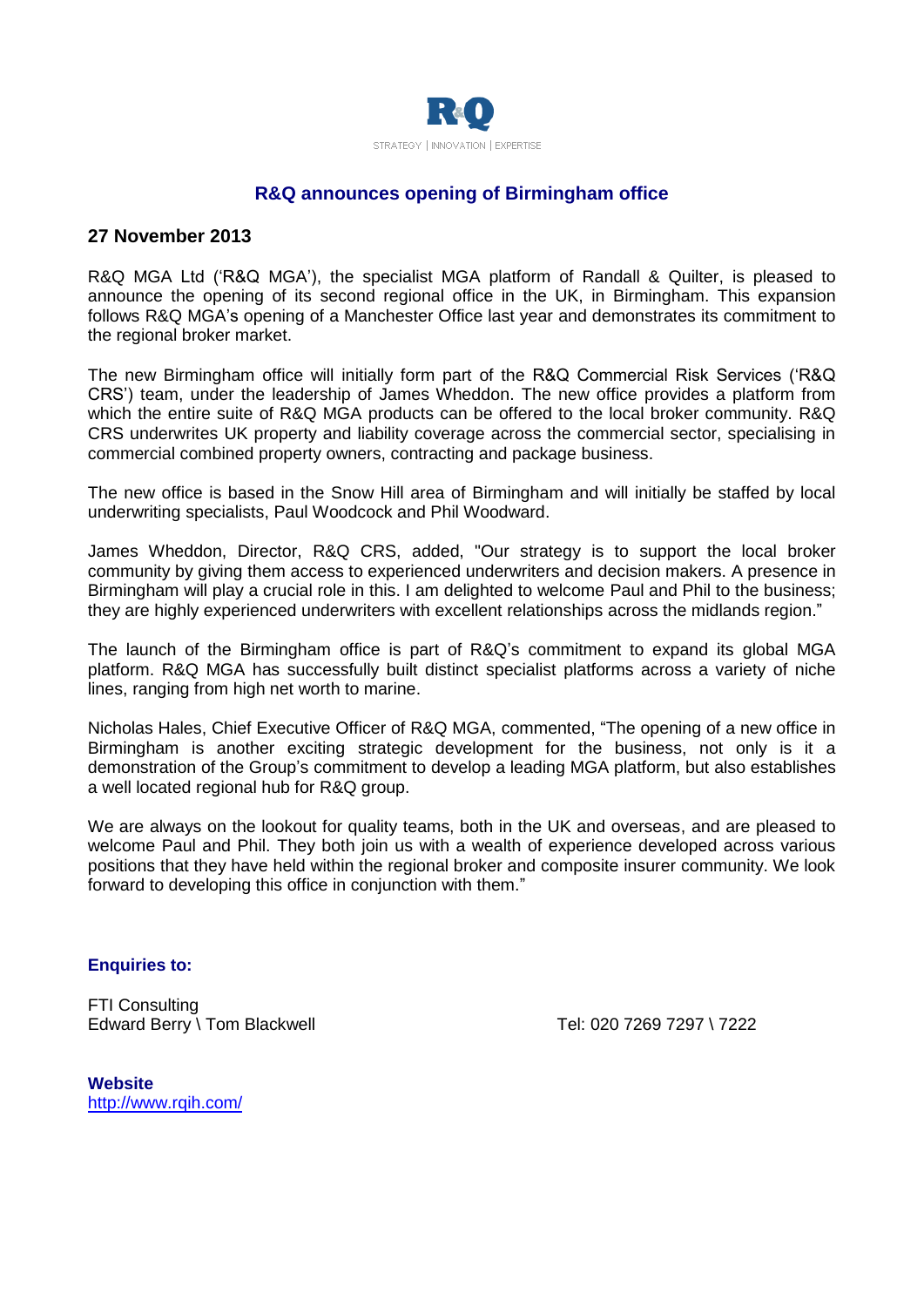

# **R&Q announces opening of Birmingham office**

# **27 November 2013**

R&Q MGA Ltd ('R&Q MGA'), the specialist MGA platform of Randall & Quilter, is pleased to announce the opening of its second regional office in the UK, in Birmingham. This expansion follows R&Q MGA's opening of a Manchester Office last year and demonstrates its commitment to the regional broker market.

The new Birmingham office will initially form part of the R&Q Commercial Risk Services ('R&Q CRS') team, under the leadership of James Wheddon. The new office provides a platform from which the entire suite of R&Q MGA products can be offered to the local broker community. R&Q CRS underwrites UK property and liability coverage across the commercial sector, specialising in commercial combined property owners, contracting and package business.

The new office is based in the Snow Hill area of Birmingham and will initially be staffed by local underwriting specialists, Paul Woodcock and Phil Woodward.

James Wheddon, Director, R&Q CRS, added, "Our strategy is to support the local broker community by giving them access to experienced underwriters and decision makers. A presence in Birmingham will play a crucial role in this. I am delighted to welcome Paul and Phil to the business; they are highly experienced underwriters with excellent relationships across the midlands region."

The launch of the Birmingham office is part of R&Q's commitment to expand its global MGA platform. R&Q MGA has successfully built distinct specialist platforms across a variety of niche lines, ranging from high net worth to marine.

Nicholas Hales, Chief Executive Officer of R&Q MGA, commented, "The opening of a new office in Birmingham is another exciting strategic development for the business, not only is it a demonstration of the Group's commitment to develop a leading MGA platform, but also establishes a well located regional hub for R&Q group.

We are always on the lookout for quality teams, both in the UK and overseas, and are pleased to welcome Paul and Phil. They both join us with a wealth of experience developed across various positions that they have held within the regional broker and composite insurer community. We look forward to developing this office in conjunction with them."

#### **Enquiries to:**

FTI Consulting Edward Berry \ Tom Blackwell Tel: 020 7269 7297 \ 7222

**Website** <http://www.rqih.com/>